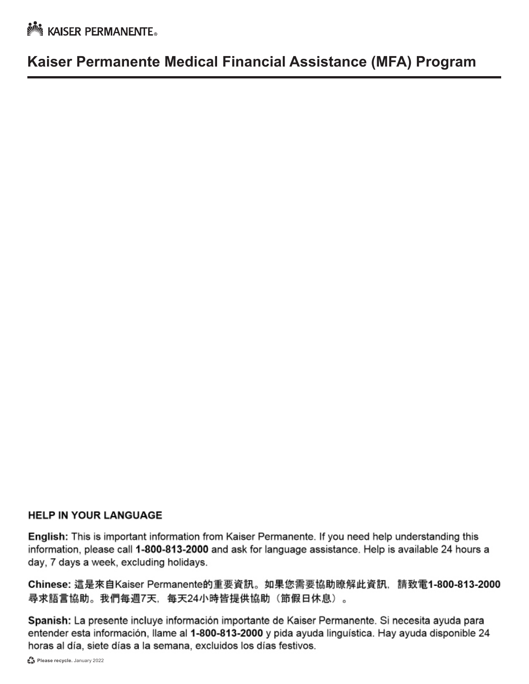**No. KAISER PERMANENTE** 

## **Kaiser Permanente Medical Financial Assistance (MFA) Program**

#### **HELP IN YOUR LANGUAGE**

English: This is important information from Kaiser Permanente. If you need help understanding this information, please call 1-800-813-2000 and ask for language assistance. Help is available 24 hours a day, 7 days a week, excluding holidays.

Chinese: 這是來自Kaiser Permanente的重要資訊。如果您需要協助瞭解此資訊, 請致電1-800-813-2000 尋求語言協助。我們每週7天,每天24小時皆提供協助(節假日休息)。

Spanish: La presente incluye información importante de Kaiser Permanente. Si necesita ayuda para entender esta información, llame al 1-800-813-2000 y pida ayuda linguística. Hay ayuda disponible 24 horas al día, siete días a la semana, excluidos los días festivos.

Please recycle. January 2022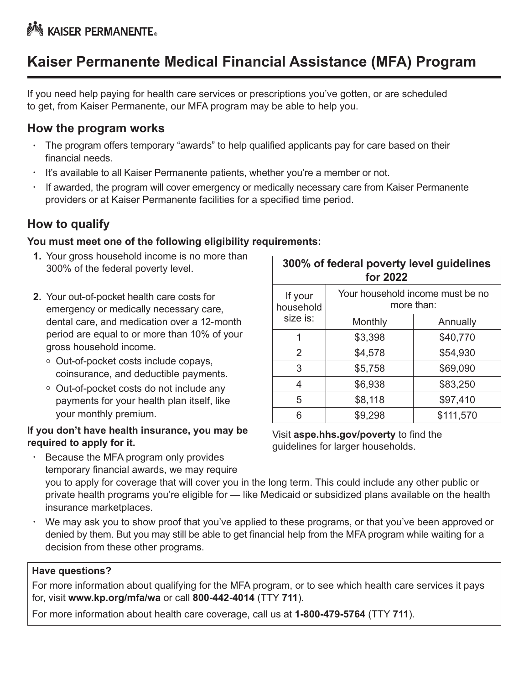# **Kaiser Permanente Medical Financial Assistance (MFA) Program**

If you need help paying for health care services or prescriptions you've gotten, or are scheduled to get, from Kaiser Permanente, our MFA program may be able to help you.

### **How the program works**

- The program offers temporary "awards" to help qualified applicants pay for care based on their financial needs.
- It's available to all Kaiser Permanente patients, whether you're a member or not.
- If awarded, the program will cover emergency or medically necessary care from Kaiser Permanente providers or at Kaiser Permanente facilities for a specified time period.

## **How to qualify**

#### **You must meet one of the following eligibility requirements:**

- **1.** Your gross household income is no more than 300% of the federal poverty level.
- **2.** Your out-of-pocket health care costs for emergency or medically necessary care, dental care, and medication over a 12-month period are equal to or more than 10% of your gross household income.
	- o Out-of-pocket costs include copays, coinsurance, and deductible payments.
	- Out-of-pocket costs do not include any payments for your health plan itself, like your monthly premium.

#### **If you don't have health insurance, you may be required to apply for it.**

| 300% of federal poverty level guidelines<br>for 2022 |                                                |           |  |  |  |  |  |
|------------------------------------------------------|------------------------------------------------|-----------|--|--|--|--|--|
| If your<br>household                                 | Your household income must be no<br>more than: |           |  |  |  |  |  |
| size is:                                             | Monthly                                        | Annually  |  |  |  |  |  |
| 1                                                    | \$3,398                                        | \$40,770  |  |  |  |  |  |
| $\mathcal{P}$                                        | \$4,578                                        | \$54,930  |  |  |  |  |  |
| 3                                                    | \$5,758                                        | \$69,090  |  |  |  |  |  |
| 4                                                    | \$6,938                                        | \$83,250  |  |  |  |  |  |
| 5                                                    | \$8,118                                        | \$97,410  |  |  |  |  |  |
|                                                      | \$9,298                                        | \$111,570 |  |  |  |  |  |

Visit **[aspe.hhs.gov/poverty](http://aspe.hhs.gov/poverty)** to find the guidelines for larger households.

- Because the MFA program only provides temporary financial awards, we may require you to apply for coverage that will cover you in the long term. This could include any other public or private health programs you're eligible for — like Medicaid or subsidized plans available on the health insurance marketplaces.
- We may ask you to show proof that you've applied to these programs, or that you've been approved or denied by them. But you may still be able to get financial help from the MFA program while waiting for a decision from these other programs.

#### **Have questions?**

For more information about qualifying for the MFA program, or to see which health care services it pays for, visit **[www.kp.org/mfa/wa](http://www.kp.org/mfa/wa)** or call **800-442-4014** (TTY **711**).

For more information about health care coverage, call us at **1-800-479-5764** (TTY **711**).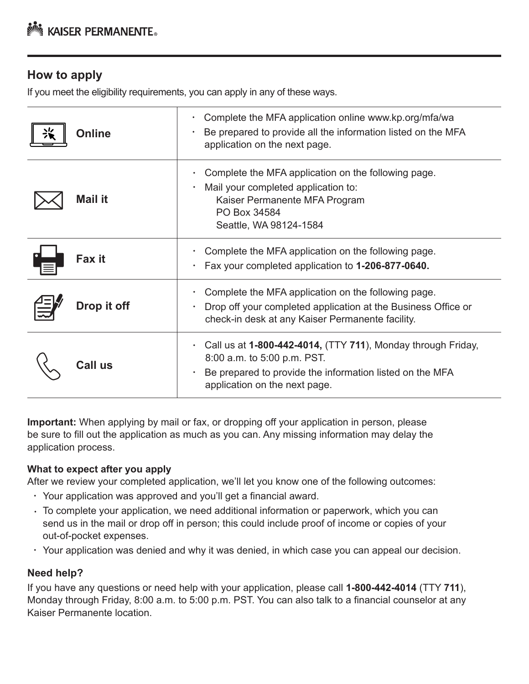## **How to apply**

If you meet the eligibility requirements, you can apply in any of these ways.

| <b>Online</b>  | Complete the MFA application online www.kp.org/mfa/wa<br>Be prepared to provide all the information listed on the MFA<br>application on the next page.                                             |
|----------------|----------------------------------------------------------------------------------------------------------------------------------------------------------------------------------------------------|
| <b>Mail it</b> | Complete the MFA application on the following page.<br>Mail your completed application to:<br>$\bullet$<br>Kaiser Permanente MFA Program<br>PO Box 34584<br>Seattle, WA 98124-1584                 |
| Fax it         | Complete the MFA application on the following page.<br>Fax your completed application to 1-206-877-0640.<br>$\bullet$                                                                              |
| Drop it off    | Complete the MFA application on the following page.<br>Drop off your completed application at the Business Office or<br>check-in desk at any Kaiser Permanente facility.                           |
| Call us        | Call us at 1-800-442-4014, (TTY 711), Monday through Friday,<br>٠<br>8:00 a.m. to 5:00 p.m. PST.<br>Be prepared to provide the information listed on the MFA<br>٠<br>application on the next page. |

**Important:** When applying by mail or fax, or dropping off your application in person, please be sure to fill out the application as much as you can. Any missing information may delay the application process.

#### **What to expect after you apply**

After we review your completed application, we'll let you know one of the following outcomes:

- Your application was approved and you'll get a financial award.
- To complete your application, we need additional information or paperwork, which you can send us in the mail or drop off in person; this could include proof of income or copies of your out-of-pocket expenses.
- Your application was denied and why it was denied, in which case you can appeal our decision.

#### **Need help?**

If you have any questions or need help with your application, please call **1-800-442-4014** (TTY **711**), Monday through Friday, 8:00 a.m. to 5:00 p.m. PST. You can also talk to a financial counselor at any Kaiser Permanente location.